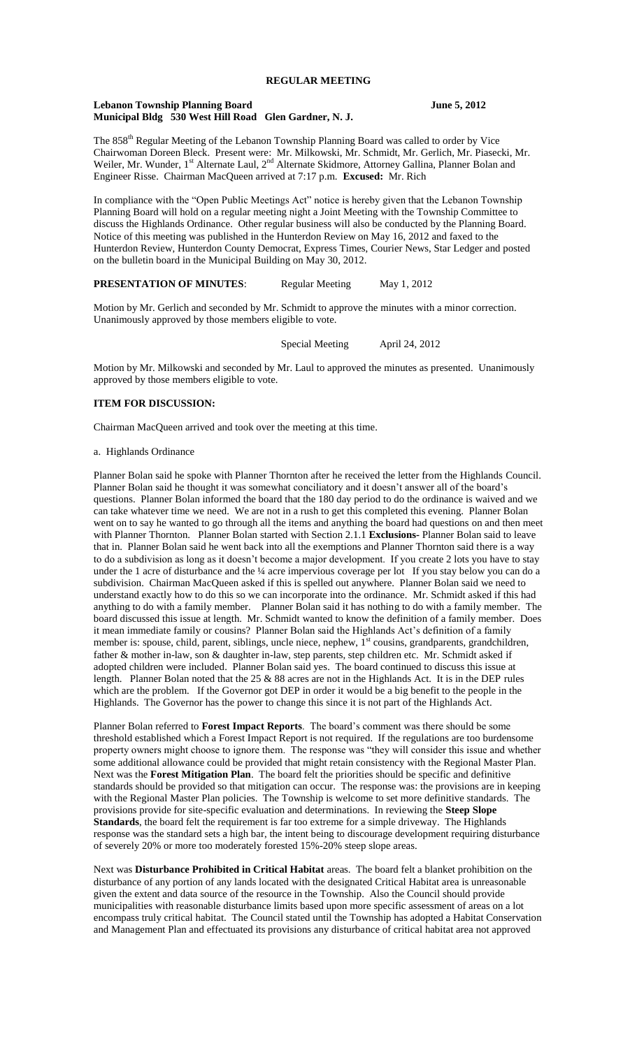# **REGULAR MEETING**

### **Lebanon Township Planning Board June 5, 2012 Municipal Bldg 530 West Hill Road Glen Gardner, N. J.**

The 858<sup>th</sup> Regular Meeting of the Lebanon Township Planning Board was called to order by Vice Chairwoman Doreen Bleck. Present were: Mr. Milkowski, Mr. Schmidt, Mr. Gerlich, Mr. Piasecki, Mr. Weiler, Mr. Wunder, 1<sup>st</sup> Alternate Laul, 2<sup>nd</sup> Alternate Skidmore, Attorney Gallina, Planner Bolan and Engineer Risse. Chairman MacQueen arrived at 7:17 p.m. **Excused:** Mr. Rich

In compliance with the "Open Public Meetings Act" notice is hereby given that the Lebanon Township Planning Board will hold on a regular meeting night a Joint Meeting with the Township Committee to discuss the Highlands Ordinance. Other regular business will also be conducted by the Planning Board. Notice of this meeting was published in the Hunterdon Review on May 16, 2012 and faxed to the Hunterdon Review, Hunterdon County Democrat, Express Times, Courier News, Star Ledger and posted on the bulletin board in the Municipal Building on May 30, 2012.

## **PRESENTATION OF MINUTES:** Regular Meeting May 1, 2012

Motion by Mr. Gerlich and seconded by Mr. Schmidt to approve the minutes with a minor correction. Unanimously approved by those members eligible to vote.

Special Meeting April 24, 2012

Motion by Mr. Milkowski and seconded by Mr. Laul to approved the minutes as presented. Unanimously approved by those members eligible to vote.

# **ITEM FOR DISCUSSION:**

Chairman MacQueen arrived and took over the meeting at this time.

### a. Highlands Ordinance

Planner Bolan said he spoke with Planner Thornton after he received the letter from the Highlands Council. Planner Bolan said he thought it was somewhat conciliatory and it doesn't answer all of the board's questions. Planner Bolan informed the board that the 180 day period to do the ordinance is waived and we can take whatever time we need. We are not in a rush to get this completed this evening. Planner Bolan went on to say he wanted to go through all the items and anything the board had questions on and then meet with Planner Thornton. Planner Bolan started with Section 2.1.1 **Exclusions-** Planner Bolan said to leave that in. Planner Bolan said he went back into all the exemptions and Planner Thornton said there is a way to do a subdivision as long as it doesn't become a major development. If you create 2 lots you have to stay under the 1 acre of disturbance and the ¼ acre impervious coverage per lot If you stay below you can do a subdivision. Chairman MacQueen asked if this is spelled out anywhere. Planner Bolan said we need to understand exactly how to do this so we can incorporate into the ordinance. Mr. Schmidt asked if this had anything to do with a family member. Planner Bolan said it has nothing to do with a family member. The board discussed this issue at length. Mr. Schmidt wanted to know the definition of a family member. Does it mean immediate family or cousins? Planner Bolan said the Highlands Act's definition of a family member is: spouse, child, parent, siblings, uncle niece, nephew, 1<sup>st</sup> cousins, grandparents, grandchildren, father & mother in-law, son & daughter in-law, step parents, step children etc. Mr. Schmidt asked if adopted children were included. Planner Bolan said yes. The board continued to discuss this issue at length. Planner Bolan noted that the 25 & 88 acres are not in the Highlands Act. It is in the DEP rules which are the problem. If the Governor got DEP in order it would be a big benefit to the people in the Highlands. The Governor has the power to change this since it is not part of the Highlands Act.

Planner Bolan referred to **Forest Impact Reports**. The board's comment was there should be some threshold established which a Forest Impact Report is not required. If the regulations are too burdensome property owners might choose to ignore them. The response was "they will consider this issue and whether some additional allowance could be provided that might retain consistency with the Regional Master Plan. Next was the **Forest Mitigation Plan**. The board felt the priorities should be specific and definitive standards should be provided so that mitigation can occur. The response was: the provisions are in keeping with the Regional Master Plan policies. The Township is welcome to set more definitive standards. The provisions provide for site-specific evaluation and determinations. In reviewing the **Steep Slope** Standards, the board felt the requirement is far too extreme for a simple driveway. The Highlands response was the standard sets a high bar, the intent being to discourage development requiring disturbance of severely 20% or more too moderately forested 15%-20% steep slope areas.

Next was **Disturbance Prohibited in Critical Habitat** areas. The board felt a blanket prohibition on the disturbance of any portion of any lands located with the designated Critical Habitat area is unreasonable given the extent and data source of the resource in the Township. Also the Council should provide municipalities with reasonable disturbance limits based upon more specific assessment of areas on a lot encompass truly critical habitat. The Council stated until the Township has adopted a Habitat Conservation and Management Plan and effectuated its provisions any disturbance of critical habitat area not approved